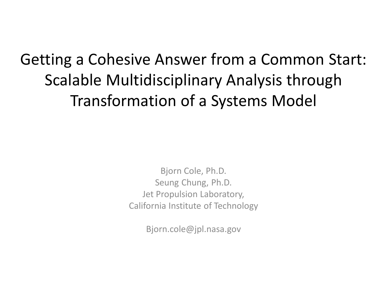#### Getting a Cohesive Answer from a Common Start: Scalable Multidisciplinary Analysis through Transformation of a Systems Model

Bjorn Cole, Ph.D. Seung Chung, Ph.D. Jet Propulsion Laboratory, California Institute of Technology

Bjorn.cole@jpl.nasa.gov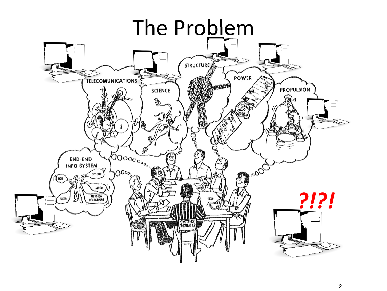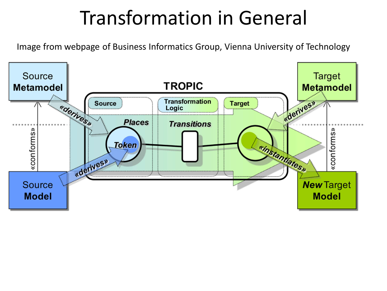#### Transformation in General

Image from webpage of Business Informatics Group, Vienna University of Technology

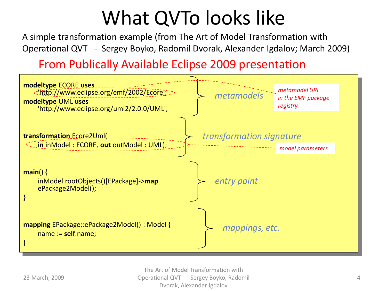#### What QVTo looks like

A simple transformation example (from The Art of Model Transformation with Operational QVT - Sergey Boyko, Radomil Dvorak, Alexander Igdalov; March 2009)

From Publically Available Eclipse 2009 presentation



The Art of Model Transformation with Operational QVT - Sergey Boyko, Radomil Dvorak, Alexander Igdalov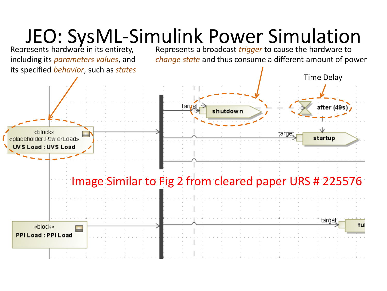#### JEO: SysML-Simulink Power Simulation

Represents hardware in its entirety, including its *parameters values*, and its specified *behavior*, such as *states* Represents a broadcast *trigger* to cause the hardware to *change state* and thus consume a different amount of power

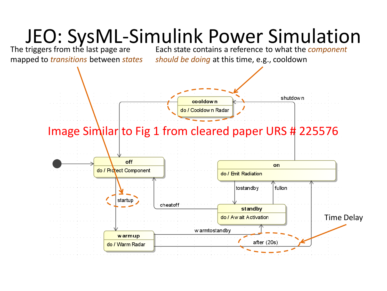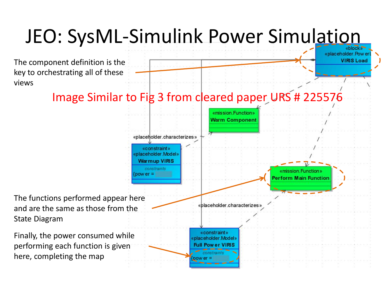## JEO: SysML-Simulink Power Simulation

«placeholder. Pow er **VIRIS Load** 

The component definition is the key to orchestrating all of these views

#### Image Similar to Fig 3 from cleared paper URS # 225576

«mission Functio **Warm Component** «placeholder.characterizes» «constraint» «placeholder.Model» **Warmup VIRIS** constraints «mission Function»  $power =$ erform Main Function The functions performed appear here «placeholder.characterizes and are the same as those from the State Diagram «constraint» Finally, the power consumed while «placeholder.Model» performing each function is given **Full Power VIRIS** constraint here, completing the map  $power =$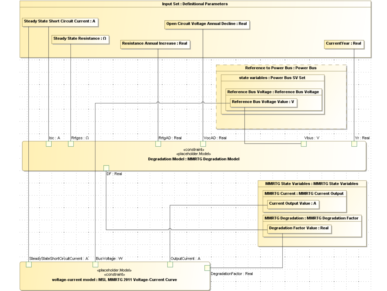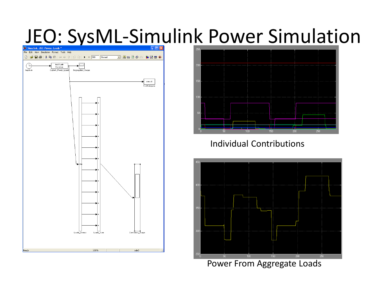#### JEO: SysML-Simulink Power Simulation





#### Individual Contributions



Power From Aggregate Loads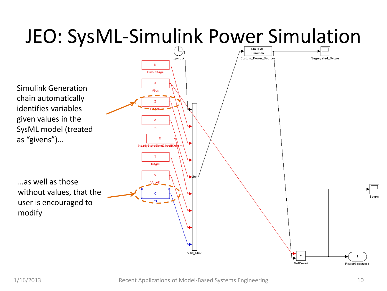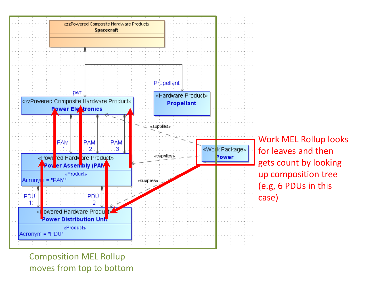

Work MEL Rollup looks for leaves and then gets count by looking up composition tree (e.g, 6 PDUs in this case)

Composition MEL Rollup moves from top to bottom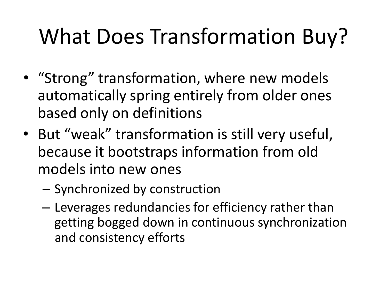# What Does Transformation Buy?

- "Strong" transformation, where new models automatically spring entirely from older ones based only on definitions
- But "weak" transformation is still very useful, because it bootstraps information from old models into new ones
	- Synchronized by construction
	- Leverages redundancies for efficiency rather than getting bogged down in continuous synchronization and consistency efforts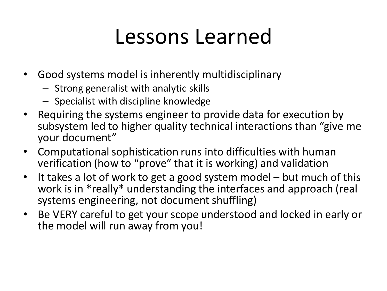#### Lessons Learned

- Good systems model is inherently multidisciplinary
	- Strong generalist with analytic skills
	- Specialist with discipline knowledge
- Requiring the systems engineer to provide data for execution by subsystem led to higher quality technical interactions than "give me your document"
- Computational sophistication runs into difficulties with human verification (how to "prove" that it is working) and validation
- It takes a lot of work to get a good system model but much of this work is in \*really\* understanding the interfaces and approach (real systems engineering, not document shuffling)
- Be VERY careful to get your scope understood and locked in early or the model will run away from you!